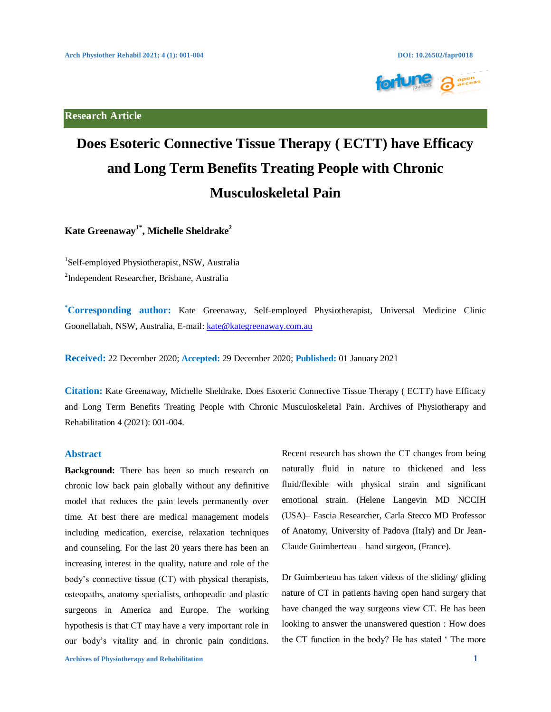**Research Article**



# **Does Esoteric Connective Tissue Therapy ( ECTT) have Efficacy and Long Term Benefits Treating People with Chronic Musculoskeletal Pain**

**Kate Greenaway1\*, Michelle Sheldrake2**

1 Self-employed Physiotherapist, NSW, Australia

<sup>2</sup>Independent Researcher, Brisbane, Australia

**\* Corresponding author:** Kate Greenaway, Self-employed Physiotherapist, Universal Medicine Clinic Goonellabah, NSW, Australia, E-mail: kate@kategreenaway.com.au

**Received:** 22 December 2020; **Accepted:** 29 December 2020; **Published:** 01 January 2021

**Citation:** Kate Greenaway, Michelle Sheldrake. Does Esoteric Connective Tissue Therapy ( ECTT) have Efficacy and Long Term Benefits Treating People with Chronic Musculoskeletal Pain. Archives of Physiotherapy and Rehabilitation 4 (2021): 001-004.

# **Abstract**

**Background:** There has been so much research on chronic low back pain globally without any definitive model that reduces the pain levels permanently over time. At best there are medical management models including medication, exercise, relaxation techniques and counseling. For the last 20 years there has been an increasing interest in the quality, nature and role of the body's connective tissue (CT) with physical therapists, osteopaths, anatomy specialists, orthopeadic and plastic surgeons in America and Europe. The working hypothesis is that CT may have a very important role in our body's vitality and in chronic pain conditions. Recent research has shown the CT changes from being naturally fluid in nature to thickened and less fluid/flexible with physical strain and significant emotional strain. (Helene Langevin MD NCCIH (USA)– Fascia Researcher, Carla Stecco MD Professor of Anatomy, University of Padova (Italy) and Dr Jean-Claude Guimberteau – hand surgeon, (France).

Dr Guimberteau has taken videos of the sliding/ gliding nature of CT in patients having open hand surgery that have changed the way surgeons view CT. He has been looking to answer the unanswered question : How does the CT function in the body? He has stated ' The more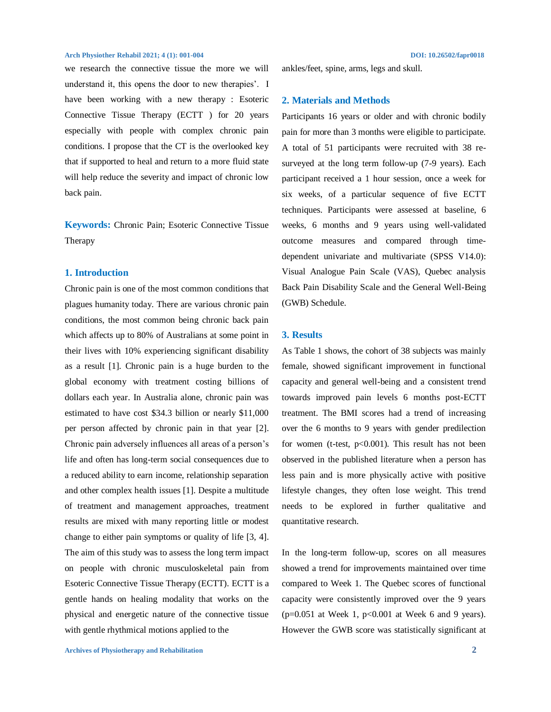### **Arch Physiother Rehabil 2021; 4 (1): 001-004****DOI: 10.26502/fapr0018**

we research the connective tissue the more we will understand it, this opens the door to new therapies'. I have been working with a new therapy : Esoteric Connective Tissue Therapy (ECTT ) for 20 years especially with people with complex chronic pain conditions. I propose that the CT is the overlooked key that if supported to heal and return to a more fluid state will help reduce the severity and impact of chronic low back pain.

**Keywords:** Chronic Pain; Esoteric Connective Tissue Therapy

# **1. Introduction**

Chronic pain is one of the most common conditions that plagues humanity today. There are various chronic pain conditions, the most common being chronic back pain which affects up to 80% of Australians at some point in their lives with 10% experiencing significant disability as a result [1]. Chronic pain is a huge burden to the global economy with treatment costing billions of dollars each year. In Australia alone, chronic pain was estimated to have cost \$34.3 billion or nearly \$11,000 per person affected by chronic pain in that year [2]. Chronic pain adversely influences all areas of a person's life and often has long-term social consequences due to a reduced ability to earn income, relationship separation and other complex health issues [1]. Despite a multitude of treatment and management approaches, treatment results are mixed with many reporting little or modest change to either pain symptoms or quality of life [3, 4]. The aim of this study was to assess the long term impact on people with chronic musculoskeletal pain from Esoteric Connective Tissue Therapy (ECTT). ECTT is a gentle hands on healing modality that works on the physical and energetic nature of the connective tissue with gentle rhythmical motions applied to the

ankles/feet, spine, arms, legs and skull.

### **2. Materials and Methods**

Participants 16 years or older and with chronic bodily pain for more than 3 months were eligible to participate. A total of 51 participants were recruited with 38 resurveyed at the long term follow-up (7-9 years). Each participant received a 1 hour session, once a week for six weeks, of a particular sequence of five ECTT techniques. Participants were assessed at baseline, 6 weeks, 6 months and 9 years using well-validated outcome measures and compared through timedependent univariate and multivariate (SPSS V14.0): Visual Analogue Pain Scale (VAS), Quebec analysis Back Pain Disability Scale and the General Well-Being (GWB) Schedule.

### **3. Results**

As Table 1 shows, the cohort of 38 subjects was mainly female, showed significant improvement in functional capacity and general well-being and a consistent trend towards improved pain levels 6 months post-ECTT treatment. The BMI scores had a trend of increasing over the 6 months to 9 years with gender predilection for women (t-test,  $p<0.001$ ). This result has not been observed in the published literature when a person has less pain and is more physically active with positive lifestyle changes, they often lose weight. This trend needs to be explored in further qualitative and quantitative research.

In the long-term follow-up, scores on all measures showed a trend for improvements maintained over time compared to Week 1. The Quebec scores of functional capacity were consistently improved over the 9 years  $(p=0.051$  at Week 1,  $p<0.001$  at Week 6 and 9 years). However the GWB score was statistically significant at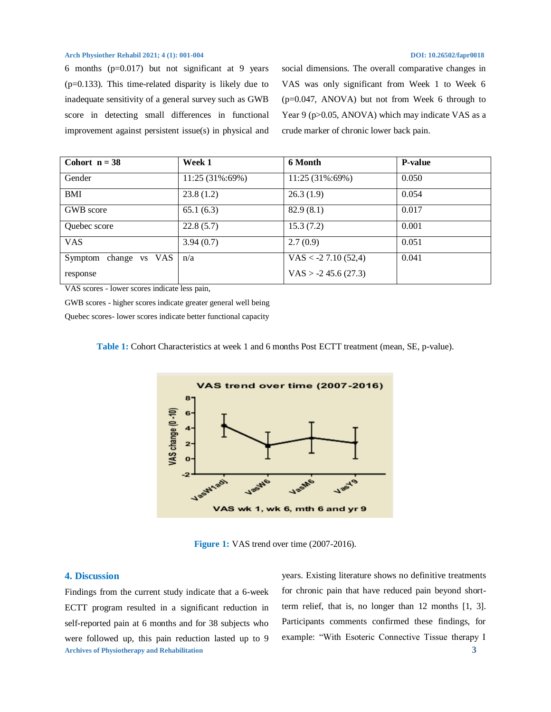### **Arch Physiother Rehabil 2021; 4 (1): 001-004****DOI: 10.26502/fapr0018**

6 months  $(p=0.017)$  but not significant at 9 years (p=0.133). This time-related disparity is likely due to inadequate sensitivity of a general survey such as GWB score in detecting small differences in functional improvement against persistent issue(s) in physical and social dimensions. The overall comparative changes in VAS was only significant from Week 1 to Week 6 (p=0.047, ANOVA) but not from Week 6 through to Year 9 (p>0.05, ANOVA) which may indicate VAS as a crude marker of chronic lower back pain.

| Cohort $n = 38$          | Week 1          | 6 Month                | <b>P-value</b> |
|--------------------------|-----------------|------------------------|----------------|
| Gender                   | 11:25 (31%:69%) | 11:25 (31%:69%)        | 0.050          |
| BMI                      | 23.8(1.2)       | 26.3(1.9)              | 0.054          |
| GWB score                | 65.1(6.3)       | 82.9(8.1)              | 0.017          |
| Quebec score             | 22.8(5.7)       | 15.3(7.2)              | 0.001          |
| <b>VAS</b>               | 3.94(0.7)       | 2.7(0.9)               | 0.051          |
| change vs VAS<br>Symptom | n/a             | VAS < $-2$ 7.10 (52,4) | 0.041          |
| response                 |                 | $VAS > -2$ 45.6 (27.3) |                |

VAS scores - lower scores indicate less pain,

GWB scores - higher scores indicate greater general well being

Quebec scores- lower scores indicate better functional capacity





**Figure 1: VAS** trend over time (2007-2016).

# **4. Discussion**

**Archives of Physiotherapy and Rehabilitation 3** Findings from the current study indicate that a 6-week ECTT program resulted in a significant reduction in self-reported pain at 6 months and for 38 subjects who were followed up, this pain reduction lasted up to 9

years. Existing literature shows no definitive treatments for chronic pain that have reduced pain beyond shortterm relief, that is, no longer than 12 months [1, 3]. Participants comments confirmed these findings, for example: "With Esoteric Connective Tissue therapy I